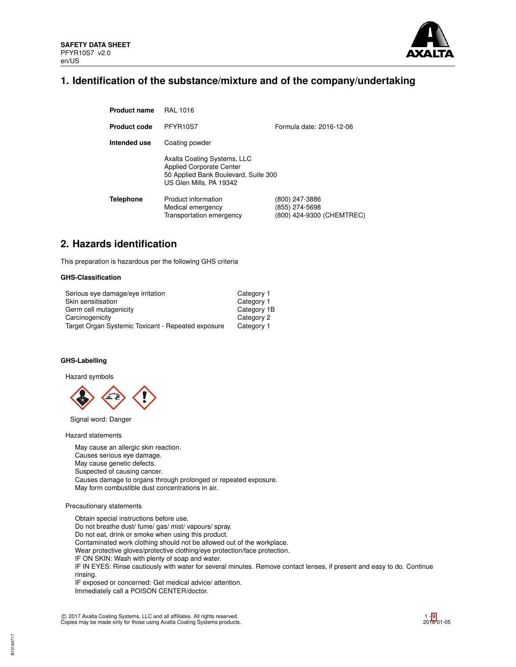

# **1. Identification of the substance/mixture and of the company/undertaking**

| <b>Product name</b> | <b>RAL 1016</b>                                                                                                                   |                                                               |
|---------------------|-----------------------------------------------------------------------------------------------------------------------------------|---------------------------------------------------------------|
| <b>Product code</b> | PFYR10S7                                                                                                                          | Formula date: 2016-12-06                                      |
| Intended use        | Coating powder                                                                                                                    |                                                               |
|                     | Axalta Coating Systems, LLC<br><b>Applied Corporate Center</b><br>50 Applied Bank Boulevard, Suite 300<br>US Glen Mills, PA 19342 |                                                               |
| <b>Telephone</b>    | Product information<br>Medical emergency<br>Transportation emergency                                                              | (800) 247-3886<br>(855) 274-5698<br>(800) 424-9300 (CHEMTREC) |

# **2. Hazards identification**

This preparation is hazardous per the following GHS criteria

## **GHS-Classification**

| Serious eye damage/eye irritation                  | Category 1  |
|----------------------------------------------------|-------------|
| Skin sensitisation                                 | Category 1  |
| Germ cell mutagenicity                             | Category 1B |
| Carcinogenicity                                    | Category 2  |
| Target Organ Systemic Toxicant - Repeated exposure | Category 1  |

## **GHS-Labelling**

Hazard symbols



Signal word: Danger

Hazard statements

May cause an allergic skin reaction. Causes serious eye damage. May cause genetic defects. Suspected of causing cancer. Causes damage to organs through prolonged or repeated exposure. May form combustible dust concentrations in air.

## Precautionary statements

Obtain special instructions before use. Do not breathe dust/ fume/ gas/ mist/ vapours/ spray. Do not eat, drink or smoke when using this product. Contaminated work clothing should not be allowed out of the workplace. Wear protective gloves/protective clothing/eye protection/face protection. IF ON SKIN: Wash with plenty of soap and water. IF IN EYES: Rinse cautiously with water for several minutes. Remove contact lenses, if present and easy to do. Continue rinsing. IF exposed or concerned: Get medical advice/ attention. Immediately call a POISON CENTER/doctor.

c 2017 Axalta Coating Systems, LLC and all affiliates. All rights reserved. Copies may be made only for those using Axalta Coating Systems products.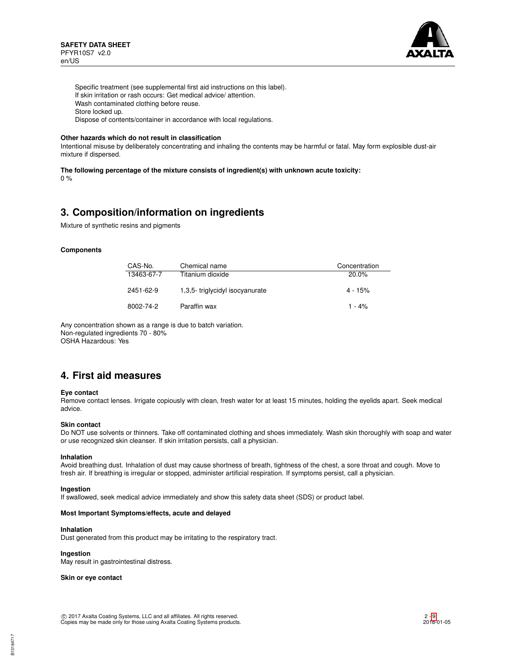

Specific treatment (see supplemental first aid instructions on this label). If skin irritation or rash occurs: Get medical advice/ attention. Wash contaminated clothing before reuse. Store locked up. Dispose of contents/container in accordance with local regulations.

### **Other hazards which do not result in classification**

Intentional misuse by deliberately concentrating and inhaling the contents may be harmful or fatal. May form explosible dust-air mixture if dispersed.

**The following percentage of the mixture consists of ingredient(s) with unknown acute toxicity:**

0 %

# **3. Composition/information on ingredients**

Mixture of synthetic resins and pigments

## **Components**

| CAS-No.    | Chemical name                  | Concentration |
|------------|--------------------------------|---------------|
| 13463-67-7 | Titanium dioxide               | $20.0\%$      |
| 2451-62-9  | 1,3,5-triglycidyl isocyanurate | $4 - 15%$     |
| 8002-74-2  | Paraffin wax                   | $1 - 4%$      |

Any concentration shown as a range is due to batch variation. Non-regulated ingredients 70 - 80% OSHA Hazardous: Yes

# **4. First aid measures**

### **Eye contact**

Remove contact lenses. Irrigate copiously with clean, fresh water for at least 15 minutes, holding the eyelids apart. Seek medical advice.

### **Skin contact**

Do NOT use solvents or thinners. Take off contaminated clothing and shoes immediately. Wash skin thoroughly with soap and water or use recognized skin cleanser. If skin irritation persists, call a physician.

### **Inhalation**

Avoid breathing dust. Inhalation of dust may cause shortness of breath, tightness of the chest, a sore throat and cough. Move to fresh air. If breathing is irregular or stopped, administer artificial respiration. If symptoms persist, call a physician.

### **Ingestion**

If swallowed, seek medical advice immediately and show this safety data sheet (SDS) or product label.

# **Most Important Symptoms/effects, acute and delayed**

### **Inhalation**

Dust generated from this product may be irritating to the respiratory tract.

# **Ingestion**

May result in gastrointestinal distress.

**Skin or eye contact**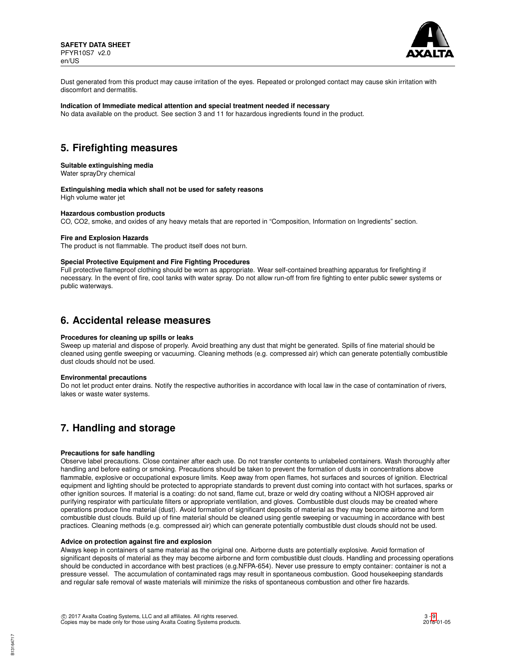

Dust generated from this product may cause irritation of the eyes. Repeated or prolonged contact may cause skin irritation with discomfort and dermatitis.

## **Indication of Immediate medical attention and special treatment needed if necessary**

No data available on the product. See section 3 and 11 for hazardous ingredients found in the product.

# **5. Firefighting measures**

## **Suitable extinguishing media**

Water sprayDry chemical

## **Extinguishing media which shall not be used for safety reasons**

High volume water jet

## **Hazardous combustion products**

CO, CO2, smoke, and oxides of any heavy metals that are reported in "Composition, Information on Ingredients" section.

### **Fire and Explosion Hazards**

The product is not flammable. The product itself does not burn.

### **Special Protective Equipment and Fire Fighting Procedures**

Full protective flameproof clothing should be worn as appropriate. Wear self-contained breathing apparatus for firefighting if necessary. In the event of fire, cool tanks with water spray. Do not allow run-off from fire fighting to enter public sewer systems or public waterways.

# **6. Accidental release measures**

### **Procedures for cleaning up spills or leaks**

Sweep up material and dispose of properly. Avoid breathing any dust that might be generated. Spills of fine material should be cleaned using gentle sweeping or vacuuming. Cleaning methods (e.g. compressed air) which can generate potentially combustible dust clouds should not be used.

### **Environmental precautions**

Do not let product enter drains. Notify the respective authorities in accordance with local law in the case of contamination of rivers, lakes or waste water systems.

# **7. Handling and storage**

### **Precautions for safe handling**

Observe label precautions. Close container after each use. Do not transfer contents to unlabeled containers. Wash thoroughly after handling and before eating or smoking. Precautions should be taken to prevent the formation of dusts in concentrations above flammable, explosive or occupational exposure limits. Keep away from open flames, hot surfaces and sources of ignition. Electrical equipment and lighting should be protected to appropriate standards to prevent dust coming into contact with hot surfaces, sparks or other ignition sources. If material is a coating: do not sand, flame cut, braze or weld dry coating without a NIOSH approved air purifying respirator with particulate filters or appropriate ventilation, and gloves. Combustible dust clouds may be created where operations produce fine material (dust). Avoid formation of significant deposits of material as they may become airborne and form combustible dust clouds. Build up of fine material should be cleaned using gentle sweeping or vacuuming in accordance with best practices. Cleaning methods (e.g. compressed air) which can generate potentially combustible dust clouds should not be used.

## **Advice on protection against fire and explosion**

Always keep in containers of same material as the original one. Airborne dusts are potentially explosive. Avoid formation of significant deposits of material as they may become airborne and form combustible dust clouds. Handling and processing operations should be conducted in accordance with best practices (e.g.NFPA-654). Never use pressure to empty container: container is not a pressure vessel. The accumulation of contaminated rags may result in spontaneous combustion. Good housekeeping standards and regular safe removal of waste materials will minimize the risks of spontaneous combustion and other fire hazards.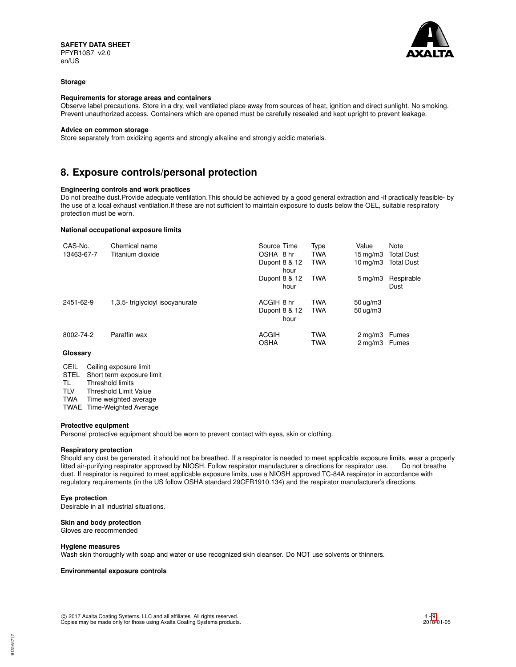

### **Storage**

## **Requirements for storage areas and containers**

Observe label precautions. Store in a dry, well ventilated place away from sources of heat, ignition and direct sunlight. No smoking. Prevent unauthorized access. Containers which are opened must be carefully resealed and kept upright to prevent leakage.

#### **Advice on common storage**

Store separately from oxidizing agents and strongly alkaline and strongly acidic materials.

# **8. Exposure controls/personal protection**

# **Engineering controls and work practices**

Do not breathe dust.Provide adequate ventilation.This should be achieved by a good general extraction and -if practically feasible- by the use of a local exhaust ventilation.If these are not sufficient to maintain exposure to dusts below the OEL, suitable respiratory protection must be worn.

#### **National occupational exposure limits**

| CAS-No.    | Chemical name                  | Source Time           | Type       | Value                         | Note              |
|------------|--------------------------------|-----------------------|------------|-------------------------------|-------------------|
| 13463-67-7 | Titanium dioxide               | OSHA 8 hr             | <b>TWA</b> | $15 \,\mathrm{mq/m}$          | <b>Total Dust</b> |
|            |                                | Dupont 8 & 12<br>hour | <b>TWA</b> | $10 \,\mathrm{ma}/\mathrm{m}$ | <b>Total Dust</b> |
|            |                                | Dupont 8 & 12         | <b>TWA</b> | $5 \,\mathrm{mq/m}$ 3         | Respirable        |
|            |                                | hour                  |            |                               | Dust              |
| 2451-62-9  | 1,3,5-triglycidyl isocyanurate | ACGIH 8 hr            | <b>TWA</b> | $50 \text{ ug/m}$ 3           |                   |
|            |                                | Dupont 8 & 12         | <b>TWA</b> | $50 \text{ ug/m}$ 3           |                   |
|            |                                | hour                  |            |                               |                   |
| 8002-74-2  | Paraffin wax                   | <b>ACGIH</b>          | <b>TWA</b> | $2 \,\mathrm{mq/m}$ 3         | Fumes             |
|            |                                | <b>OSHA</b>           | <b>TWA</b> | 2 mg/m3 Fumes                 |                   |
| Glossarv   |                                |                       |            |                               |                   |

| CEIL | Ceiling exposure limit |  |
|------|------------------------|--|
|------|------------------------|--|

- 
- STEL Short term exposure limit<br>TL Threshold limits Threshold limits
- TLV Threshold Limit Value

TWA Time weighted average

TWAE Time-Weighted Average

### **Protective equipment**

Personal protective equipment should be worn to prevent contact with eyes, skin or clothing.

### **Respiratory protection**

Should any dust be generated, it should not be breathed. If a respirator is needed to meet applicable exposure limits, wear a properly fitted air-purifying respirator approved by NIOSH. Follow respirator manufacturer s directions for respirator use. Do not breathe dust. If respirator is required to meet applicable exposure limits, use a NIOSH approved TC-84A respirator in accordance with regulatory requirements (in the US follow OSHA standard 29CFR1910.134) and the respirator manufacturer's directions.

### **Eye protection**

Desirable in all industrial situations.

# **Skin and body protection**

Gloves are recommended

### **Hygiene measures**

Wash skin thoroughly with soap and water or use recognized skin cleanser. Do NOT use solvents or thinners.

### **Environmental exposure controls**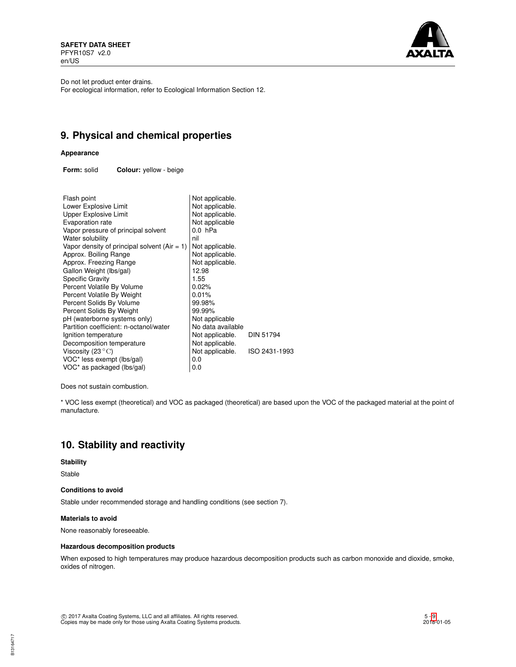**SAFETY DATA SHEET** PFYR10S7 v2.0 en/US

![](_page_4_Picture_1.jpeg)

Do not let product enter drains.

For ecological information, refer to Ecological Information Section 12.

# **9. Physical and chemical properties**

# **Appearance**

**Form:** solid **Colour:** yellow - beige

| Flash point                                    | Not applicable.   |                  |
|------------------------------------------------|-------------------|------------------|
| Lower Explosive Limit                          | Not applicable.   |                  |
| <b>Upper Explosive Limit</b>                   | Not applicable.   |                  |
| Evaporation rate                               | Not applicable    |                  |
| Vapor pressure of principal solvent            | $0.0$ hPa         |                  |
| Water solubility                               | nil               |                  |
| Vapor density of principal solvent $(Air = 1)$ | Not applicable.   |                  |
| Approx. Boiling Range                          | Not applicable.   |                  |
| Approx. Freezing Range                         | Not applicable.   |                  |
| Gallon Weight (lbs/gal)                        | 12.98             |                  |
| <b>Specific Gravity</b>                        | 1.55              |                  |
| Percent Volatile By Volume                     | 0.02%             |                  |
| Percent Volatile By Weight                     | 0.01%             |                  |
| Percent Solids By Volume                       | 99.98%            |                  |
| Percent Solids By Weight                       | 99.99%            |                  |
| pH (waterborne systems only)                   | Not applicable    |                  |
| Partition coefficient: n-octanol/water         | No data available |                  |
| Ignition temperature                           | Not applicable.   | <b>DIN 51794</b> |
| Decomposition temperature                      | Not applicable.   |                  |
| Viscosity (23 $\mathrm{^{\circ}C}$ )           | Not applicable.   | ISO 2431-1993    |
| VOC* less exempt (lbs/gal)                     | 0.0               |                  |
| VOC* as packaged (lbs/gal)                     | 0.0               |                  |

Does not sustain combustion.

\* VOC less exempt (theoretical) and VOC as packaged (theoretical) are based upon the VOC of the packaged material at the point of manufacture.

# **10. Stability and reactivity**

# **Stability**

Stable

## **Conditions to avoid**

Stable under recommended storage and handling conditions (see section 7).

### **Materials to avoid**

None reasonably foreseeable.

## **Hazardous decomposition products**

When exposed to high temperatures may produce hazardous decomposition products such as carbon monoxide and dioxide, smoke, oxides of nitrogen.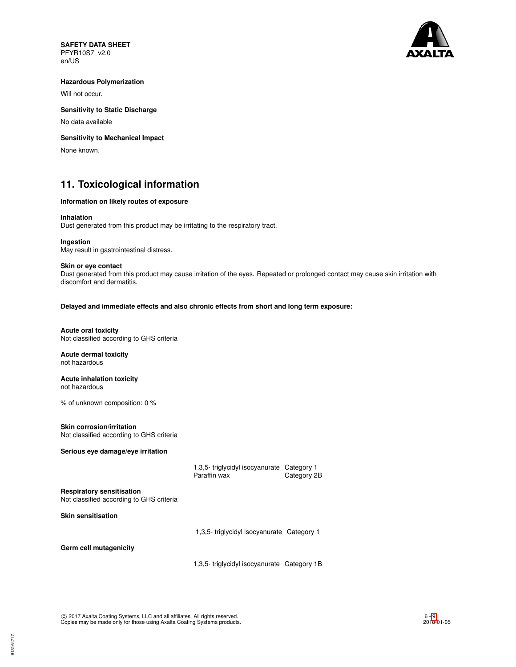![](_page_5_Picture_1.jpeg)

## **Hazardous Polymerization**

Will not occur.

# **Sensitivity to Static Discharge**

No data available

# **Sensitivity to Mechanical Impact**

None known.

# **11. Toxicological information**

## **Information on likely routes of exposure**

### **Inhalation**

Dust generated from this product may be irritating to the respiratory tract.

### **Ingestion**

May result in gastrointestinal distress.

### **Skin or eye contact**

Dust generated from this product may cause irritation of the eyes. Repeated or prolonged contact may cause skin irritation with discomfort and dermatitis.

**Delayed and immediate effects and also chronic effects from short and long term exposure:**

## **Acute oral toxicity** Not classified according to GHS criteria

**Acute dermal toxicity** not hazardous

### **Acute inhalation toxicity** not hazardous

% of unknown composition: 0 %

# **Skin corrosion/irritation**

Not classified according to GHS criteria

## **Serious eye damage/eye irritation**

| 1,3,5- triglycidyl isocyanurate Category 1 |             |
|--------------------------------------------|-------------|
| Paraffin wax                               | Category 2B |

## **Respiratory sensitisation**

Not classified according to GHS criteria

**Skin sensitisation**

1,3,5- triglycidyl isocyanurate Category 1

**Germ cell mutagenicity**

1,3,5- triglycidyl isocyanurate Category 1B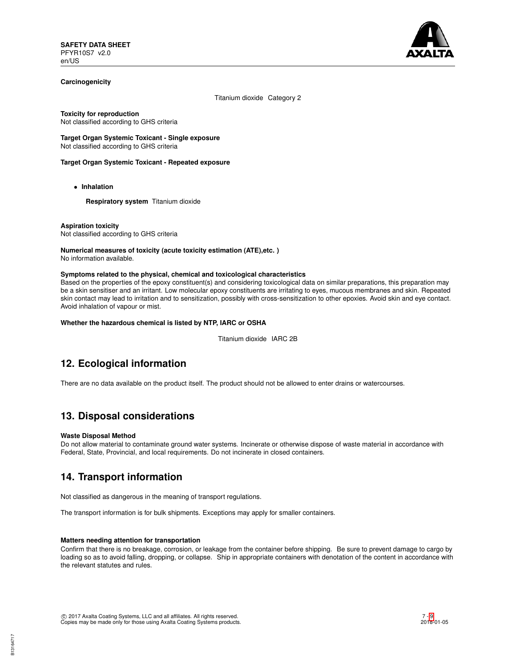![](_page_6_Picture_1.jpeg)

## **Carcinogenicity**

Titanium dioxide Category 2

**Toxicity for reproduction**

Not classified according to GHS criteria

**Target Organ Systemic Toxicant - Single exposure** Not classified according to GHS criteria

# **Target Organ Systemic Toxicant - Repeated exposure**

• **Inhalation**

**Respiratory system** Titanium dioxide

**Aspiration toxicity** Not classified according to GHS criteria

**Numerical measures of toxicity (acute toxicity estimation (ATE),etc. )** No information available.

## **Symptoms related to the physical, chemical and toxicological characteristics**

Based on the properties of the epoxy constituent(s) and considering toxicological data on similar preparations, this preparation may be a skin sensitiser and an irritant. Low molecular epoxy constituents are irritating to eyes, mucous membranes and skin. Repeated skin contact may lead to irritation and to sensitization, possibly with cross-sensitization to other epoxies. Avoid skin and eye contact. Avoid inhalation of vapour or mist.

**Whether the hazardous chemical is listed by NTP, IARC or OSHA**

Titanium dioxide IARC 2B

# **12. Ecological information**

There are no data available on the product itself. The product should not be allowed to enter drains or watercourses.

# **13. Disposal considerations**

## **Waste Disposal Method**

Do not allow material to contaminate ground water systems. Incinerate or otherwise dispose of waste material in accordance with Federal, State, Provincial, and local requirements. Do not incinerate in closed containers.

# **14. Transport information**

Not classified as dangerous in the meaning of transport regulations.

The transport information is for bulk shipments. Exceptions may apply for smaller containers.

## **Matters needing attention for transportation**

Confirm that there is no breakage, corrosion, or leakage from the container before shipping. Be sure to prevent damage to cargo by loading so as to avoid falling, dropping, or collapse. Ship in appropriate containers with denotation of the content in accordance with the relevant statutes and rules.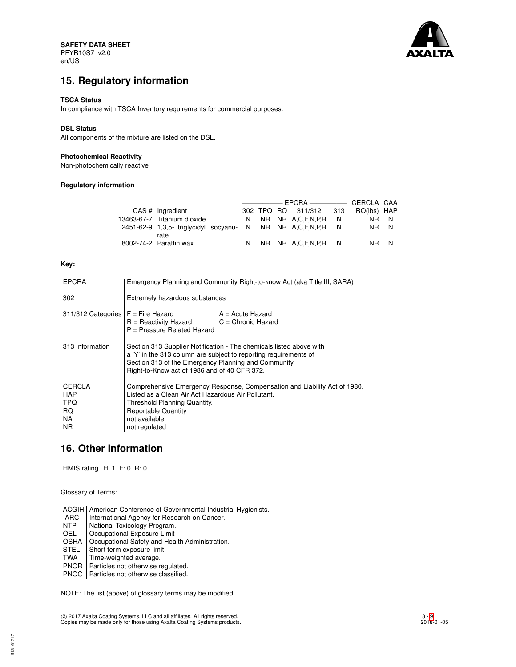![](_page_7_Picture_1.jpeg)

# **15. Regulatory information**

## **TSCA Status**

In compliance with TSCA Inventory requirements for commercial purposes.

## **DSL Status**

All components of the mixture are listed on the DSL.

## **Photochemical Reactivity**

Non-photochemically reactive

# **Regulatory information**

| CAS # Ingredient                                                     |  | 302 TPQ RQ 311/312 313 | RQ(lbs) HAP |      |
|----------------------------------------------------------------------|--|------------------------|-------------|------|
| 13463-67-7 Titanium dioxide                                          |  | N NR NR A.C.F.N.P.R N  |             | NR N |
| 2451-62-9 1,3,5- triglycidyl isocyanu- N NR NR A,C,F,N,P,R N<br>rate |  |                        | NR N        |      |
| 8002-74-2 Paraffin wax                                               |  | N NR NR A.C.F.N.P.R N  | NR N        |      |

## **Key:**

| <b>EPCRA</b>                                            | Emergency Planning and Community Right-to-know Act (aka Title III, SARA)                                                                                                                                                                       |                  |  |
|---------------------------------------------------------|------------------------------------------------------------------------------------------------------------------------------------------------------------------------------------------------------------------------------------------------|------------------|--|
| 302                                                     | Extremely hazardous substances                                                                                                                                                                                                                 |                  |  |
| $311/312$ Categories $F =$ Fire Hazard                  | $R =$ Reactivity Hazard $C =$ Chronic Hazard<br>P = Pressure Related Hazard                                                                                                                                                                    | A = Acute Hazard |  |
| 313 Information                                         | Section 313 Supplier Notification - The chemicals listed above with<br>a 'Y' in the 313 column are subject to reporting requirements of<br>Section 313 of the Emergency Planning and Community<br>Right-to-Know act of 1986 and of 40 CFR 372. |                  |  |
| CERCLA<br><b>HAP</b><br><b>TPQ</b><br>RQ.<br>NA.<br>NR. | Comprehensive Emergency Response, Compensation and Liability Act of 1980.<br>Listed as a Clean Air Act Hazardous Air Pollutant.<br>Threshold Planning Quantity.<br><b>Reportable Quantity</b><br>not available<br>not regulated                |                  |  |

# **16. Other information**

HMIS rating H: 1 F: 0 R: 0

Glossary of Terms:

ACGIH | American Conference of Governmental Industrial Hygienists.

- IARC | International Agency for Research on Cancer.<br>NTP | National Toxicology Program.
- NTP National Toxicology Program.<br>OEL Cocupational Exposure Limit
- Occupational Exposure Limit
- OSHA Occupational Safety and Health Administration.<br>STEL Short term exposure limit
- Short term exposure limit
- TWA | Time-weighted average.
- PNOR Particles not otherwise regulated.
- PNOC | Particles not otherwise classified.

NOTE: The list (above) of glossary terms may be modified.

c 2017 Axalta Coating Systems, LLC and all affiliates. All rights reserved. Copies may be made only for those using Axalta Coating Systems products.